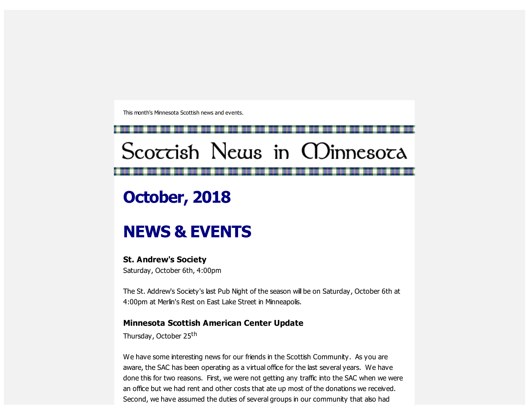This month's Minnesota Scottish news and events.

# Scoccish News in CDinnesoca

# **October, 2018**

## **NEWS & EVENTS**

## **St. Andrew's Society**

Saturday, October 6th, 4:00pm

The St. Addrew's Society's last Pub Night of the season will be on Saturday, October 6th at 4:00pm at Merlin's Rest on East Lake Street in Minneapolis.

#### **Minnesota Scottish American Center Update**

Thursday, October 25<sup>th</sup>

We have some interesting news for our friends in the Scottish Community. As you are aware, the SAC has been operating as a virtual office for the last several years. We have done this for two reasons. First, we were not getting any traffic into the SAC when we were an office but we had rent and other costs that ate up most of the donations we received. Second, we have assumed the duties of several groups in our community that also had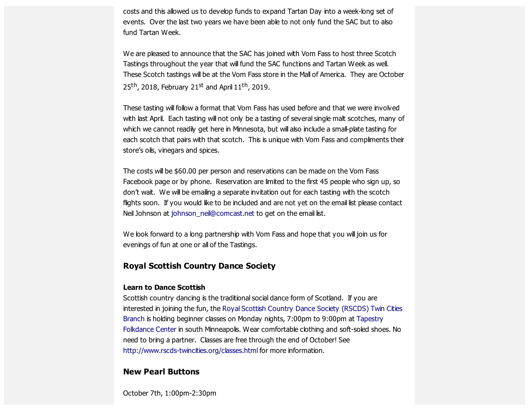costs and this allowed us to develop funds to expand Tartan Day into a week-long set of events. Over the last two years we have been able to not only fund the SAC but to also fund Tartan Week.

We are pleased to announce that the SAC has joined with Vom Fass to host three Scotch Tastings throughout the year that will fund the SAC functions and Tartan Week as well. These Scotch tastings will be at the Vom Fass store in the Mall of America. They are October 25<sup>th</sup>, 2018, February 21<sup>st</sup> and April 11<sup>th</sup>, 2019.

These tasting will follow a format that Vom Fass has used before and that we were involved with last April. Each tasting will not only be a tasting of several single malt scotches, many of which we cannot readily get here in Minnesota, but will also include a small-plate tasting for each scotch that pairs with that scotch. This is unique with Vom Fass and compliments their store's oils, vinegars and spices.

The costs will be \$60.00 per person and reservations can be made on the Vom Fass Facebook page or by phone. Reservation are limited to the first 45 people who sign up, so don't wait. We will be emailing a separate invitation out for each tasting with the scotch flights soon. If you would like to be included and are not yet on the email list please contact Neil Johnson at [johnson\\_neil@comcast.net](mailto:johnson_neil@comcast.net) to get on the email list.

We look forward to a long partnership with Vom Fass and hope that you will join us for evenings of fun at one or all of the Tastings.

#### **Royal Scottish Country Dance Society**

#### **Learn to Dance Scottish**

Scottish country dancing is the traditional social dance form of Scotland. If you are [interested](https://scottishamericancentermn.us10.list-manage.com/track/click?u=2fe4099001736ac4b948473e4&id=52890f0e23&e=6b0ba04b53) in joining the fun, the Royal Scottish Country Dance Society (RSCDS) Twin Cities Branch is holding beginner classes on Monday nights, 7:00pm to 9:00pm at Tapestry Folkdance Center in south Minneapolis. Wear [comfortable](https://scottishamericancentermn.us10.list-manage.com/track/click?u=2fe4099001736ac4b948473e4&id=cb48a232c3&e=6b0ba04b53) clothing and soft-soled shoes. No need to bring a partner. Classes are free through the end of October! See [http://www.rscds-twincities.org/classes.html](https://scottishamericancentermn.us10.list-manage.com/track/click?u=2fe4099001736ac4b948473e4&id=85d262af75&e=6b0ba04b53) for more information.

#### **New Pearl Buttons**

October 7th, 1:00pm-2:30pm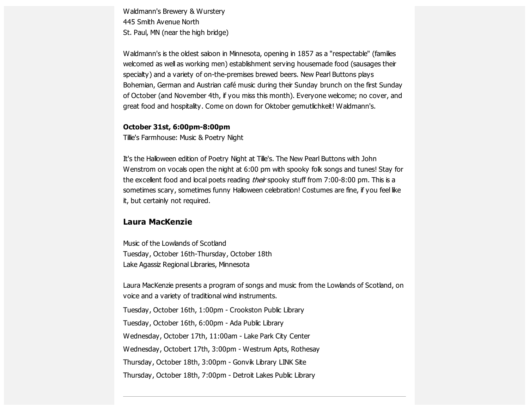Waldmann's Brewery & Wurstery 445 Smith Avenue North St. Paul, MN (near the high bridge)

Waldmann's is the oldest saloon in Minnesota, opening in 1857 as a "respectable" (families welcomed as well as working men) establishment serving housemade food (sausages their specialty) and a variety of on-the-premises brewed beers. New Pearl Buttons plays Bohemian, German and Austrian café music during their Sunday brunch on the first Sunday of October (and November 4th, if you miss this month). Everyone welcome; no cover, and great food and hospitality. Come on down for Oktober gemutlichkeit! Waldmann's.

#### **October 31st, 6:00pm-8:00pm**

Tillie's Farmhouse: Music & Poetry Night

It's the Halloween edition of Poetry Night at Tille's. The New Pearl Buttons with John Wenstrom on vocals open the night at 6:00 pm with spooky folk songs and tunes! Stay for the excellent food and local poets reading *their* spooky stuff from 7:00-8:00 pm. This is a sometimes scary, sometimes funny Halloween celebration! Costumes are fine, if you feel like it, but certainly not required.

## **Laura MacKenzie**

Music of the Lowlands of Scotland Tuesday, October 16th-Thursday, October 18th Lake Agassiz Regional Libraries, Minnesota

Laura MacKenzie presents a program of songs and music from the Lowlands of Scotland, on voice and a variety of traditional wind instruments.

Tuesday, October 16th, 1:00pm - Crookston Public Library

Tuesday, October 16th, 6:00pm - Ada Public Library

Wednesday, October 17th, 11:00am - Lake Park City Center

Wednesday, Octobert 17th, 3:00pm - Westrum Apts, Rothesay

Thursday, October 18th, 3:00pm - Gonvik Library LINK Site

Thursday, October 18th, 7:00pm - Detroit Lakes Public Library